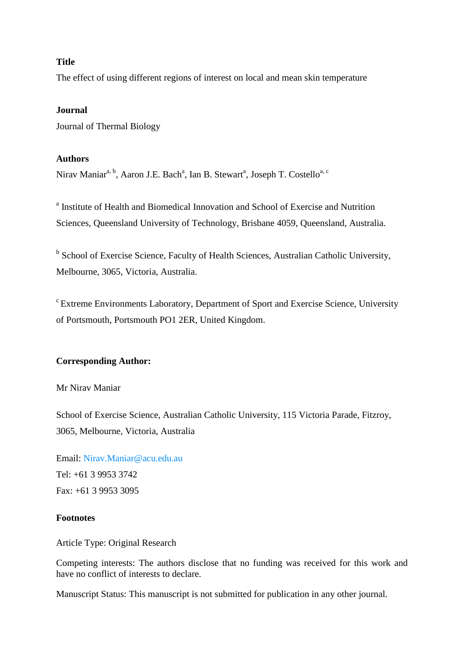# **Title**

The effect of using different regions of interest on local and mean skin temperature

# **Journal**

Journal of Thermal Biology

# **Authors**

Nirav Maniar<sup>a, b</sup>, Aaron J.E. Bach<sup>a</sup>, Ian B. Stewart<sup>a</sup>, Joseph T. Costello<sup>a, c</sup>

<sup>a</sup> Institute of Health and Biomedical Innovation and School of Exercise and Nutrition Sciences, Queensland University of Technology, Brisbane 4059, Queensland, Australia.

<sup>b</sup> School of Exercise Science, Faculty of Health Sciences, Australian Catholic University, Melbourne, 3065, Victoria, Australia.

<sup>c</sup> Extreme Environments Laboratory, Department of Sport and Exercise Science, University of Portsmouth, Portsmouth PO1 2ER, United Kingdom.

# **Corresponding Author:**

Mr Nirav Maniar

School of Exercise Science, Australian Catholic University, 115 Victoria Parade, Fitzroy, 3065, Melbourne, Victoria, Australia

Email: [Nirav.Maniar@acu.edu.au](mailto:Nirav.Maniar@acu.edu.au) Tel: +61 3 9953 3742 Fax: +61 3 9953 3095

# **Footnotes**

Article Type: Original Research

Competing interests: The authors disclose that no funding was received for this work and have no conflict of interests to declare.

Manuscript Status: This manuscript is not submitted for publication in any other journal.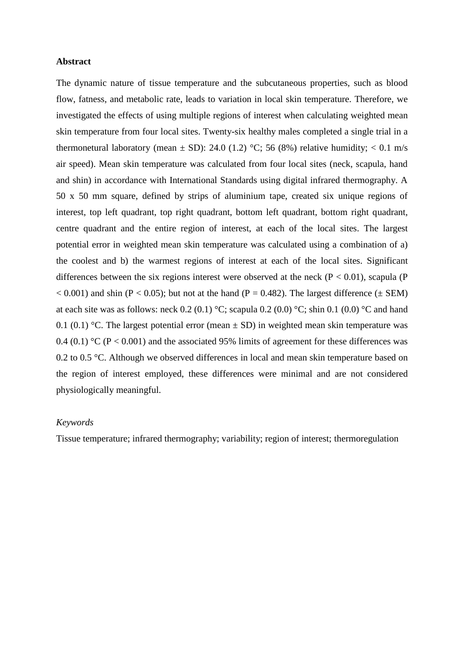### **Abstract**

The dynamic nature of tissue temperature and the subcutaneous properties, such as blood flow, fatness, and metabolic rate, leads to variation in local skin temperature. Therefore, we investigated the effects of using multiple regions of interest when calculating weighted mean skin temperature from four local sites. Twenty-six healthy males completed a single trial in a thermonetural laboratory (mean  $\pm$  SD): 24.0 (1.2) °C; 56 (8%) relative humidity; < 0.1 m/s air speed). Mean skin temperature was calculated from four local sites (neck, scapula, hand and shin) in accordance with International Standards using digital infrared thermography. A 50 x 50 mm square, defined by strips of aluminium tape, created six unique regions of interest, top left quadrant, top right quadrant, bottom left quadrant, bottom right quadrant, centre quadrant and the entire region of interest, at each of the local sites. The largest potential error in weighted mean skin temperature was calculated using a combination of a) the coolest and b) the warmest regions of interest at each of the local sites. Significant differences between the six regions interest were observed at the neck ( $P < 0.01$ ), scapula (P  $< 0.001$ ) and shin (P  $< 0.05$ ); but not at the hand (P = 0.482). The largest difference ( $\pm$  SEM) at each site was as follows: neck  $0.2$  (0.1) °C; scapula 0.2 (0.0) °C; shin 0.1 (0.0) °C and hand 0.1 (0.1) °C. The largest potential error (mean  $\pm$  SD) in weighted mean skin temperature was 0.4 (0.1) °C ( $P < 0.001$ ) and the associated 95% limits of agreement for these differences was 0.2 to 0.5 °C. Although we observed differences in local and mean skin temperature based on the region of interest employed, these differences were minimal and are not considered physiologically meaningful.

### *Keywords*

Tissue temperature; infrared thermography; variability; region of interest; thermoregulation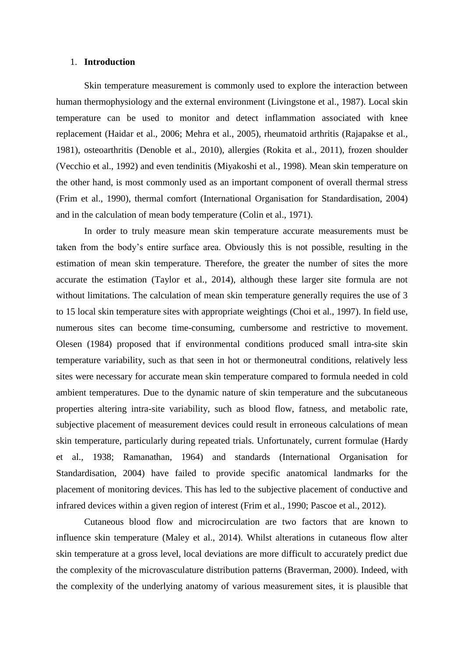### 1. **Introduction**

Skin temperature measurement is commonly used to explore the interaction between human thermophysiology and the external environment (Livingstone et al., 1987). Local skin temperature can be used to monitor and detect inflammation associated with knee replacement (Haidar et al., 2006; Mehra et al., 2005), rheumatoid arthritis (Rajapakse et al., 1981), osteoarthritis (Denoble et al., 2010), allergies (Rokita et al., 2011), frozen shoulder (Vecchio et al., 1992) and even tendinitis (Miyakoshi et al., 1998). Mean skin temperature on the other hand, is most commonly used as an important component of overall thermal stress (Frim et al., 1990), thermal comfort (International Organisation for Standardisation, 2004) and in the calculation of mean body temperature (Colin et al., 1971).

In order to truly measure mean skin temperature accurate measurements must be taken from the body's entire surface area. Obviously this is not possible, resulting in the estimation of mean skin temperature. Therefore, the greater the number of sites the more accurate the estimation (Taylor et al., 2014), although these larger site formula are not without limitations. The calculation of mean skin temperature generally requires the use of 3 to 15 local skin temperature sites with appropriate weightings (Choi et al., 1997). In field use, numerous sites can become time-consuming, cumbersome and restrictive to movement. Olesen (1984) proposed that if environmental conditions produced small intra-site skin temperature variability, such as that seen in hot or thermoneutral conditions, relatively less sites were necessary for accurate mean skin temperature compared to formula needed in cold ambient temperatures. Due to the dynamic nature of skin temperature and the subcutaneous properties altering intra-site variability, such as blood flow, fatness, and metabolic rate, subjective placement of measurement devices could result in erroneous calculations of mean skin temperature, particularly during repeated trials. Unfortunately, current formulae (Hardy et al., 1938; Ramanathan, 1964) and standards (International Organisation for Standardisation, 2004) have failed to provide specific anatomical landmarks for the placement of monitoring devices. This has led to the subjective placement of conductive and infrared devices within a given region of interest (Frim et al., 1990; Pascoe et al., 2012).

Cutaneous blood flow and microcirculation are two factors that are known to influence skin temperature (Maley et al., 2014). Whilst alterations in cutaneous flow alter skin temperature at a gross level, local deviations are more difficult to accurately predict due the complexity of the microvasculature distribution patterns (Braverman, 2000). Indeed, with the complexity of the underlying anatomy of various measurement sites, it is plausible that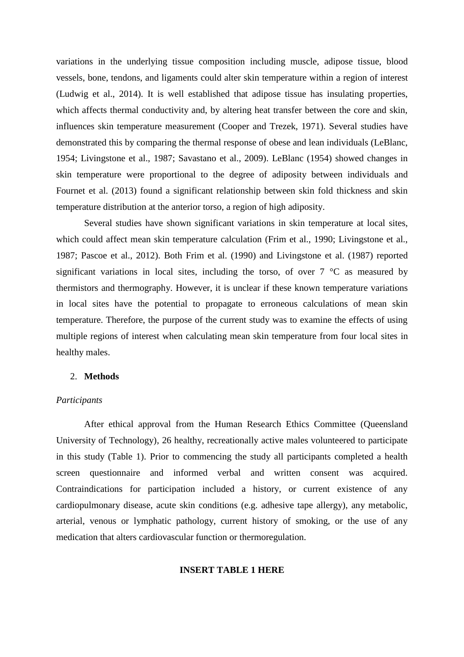variations in the underlying tissue composition including muscle, adipose tissue, blood vessels, bone, tendons, and ligaments could alter skin temperature within a region of interest (Ludwig et al., 2014). It is well established that adipose tissue has insulating properties, which affects thermal conductivity and, by altering heat transfer between the core and skin, influences skin temperature measurement (Cooper and Trezek, 1971). Several studies have demonstrated this by comparing the thermal response of obese and lean individuals (LeBlanc, 1954; Livingstone et al., 1987; Savastano et al., 2009). LeBlanc (1954) showed changes in skin temperature were proportional to the degree of adiposity between individuals and Fournet et al. (2013) found a significant relationship between skin fold thickness and skin temperature distribution at the anterior torso, a region of high adiposity.

Several studies have shown significant variations in skin temperature at local sites, which could affect mean skin temperature calculation (Frim et al., 1990; Livingstone et al., 1987; Pascoe et al., 2012). Both Frim et al. (1990) and Livingstone et al. (1987) reported significant variations in local sites, including the torso, of over  $7 \text{ °C}$  as measured by thermistors and thermography. However, it is unclear if these known temperature variations in local sites have the potential to propagate to erroneous calculations of mean skin temperature. Therefore, the purpose of the current study was to examine the effects of using multiple regions of interest when calculating mean skin temperature from four local sites in healthy males.

### 2. **Methods**

### *Participants*

After ethical approval from the Human Research Ethics Committee (Queensland University of Technology), 26 healthy, recreationally active males volunteered to participate in this study (Table 1). Prior to commencing the study all participants completed a health screen questionnaire and informed verbal and written consent was acquired. Contraindications for participation included a history, or current existence of any cardiopulmonary disease, acute skin conditions (e.g. adhesive tape allergy), any metabolic, arterial, venous or lymphatic pathology, current history of smoking, or the use of any medication that alters cardiovascular function or thermoregulation.

# **INSERT TABLE 1 HERE**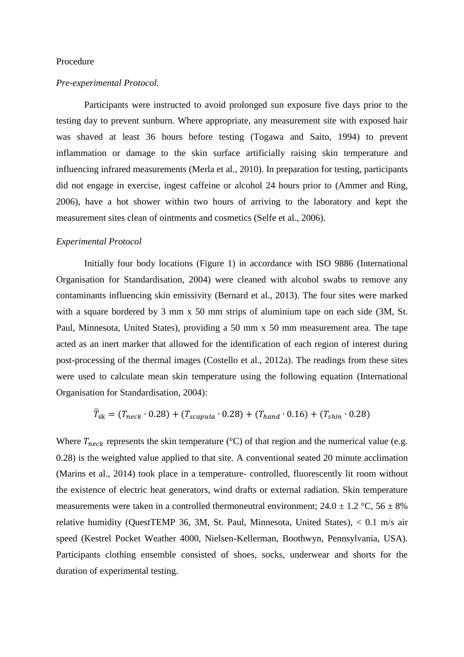### Procedure

### *Pre-experimental Protocol.*

Participants were instructed to avoid prolonged sun exposure five days prior to the testing day to prevent sunburn. Where appropriate, any measurement site with exposed hair was shaved at least 36 hours before testing (Togawa and Saito, 1994) to prevent inflammation or damage to the skin surface artificially raising skin temperature and influencing infrared measurements (Merla et al., 2010). In preparation for testing, participants did not engage in exercise, ingest caffeine or alcohol 24 hours prior to (Ammer and Ring, 2006), have a hot shower within two hours of arriving to the laboratory and kept the measurement sites clean of ointments and cosmetics (Selfe et al., 2006).

#### *Experimental Protocol*

Initially four body locations (Figure 1) in accordance with ISO 9886 (International Organisation for Standardisation, 2004) were cleaned with alcohol swabs to remove any contaminants influencing skin emissivity (Bernard et al., 2013). The four sites were marked with a square bordered by 3 mm x 50 mm strips of aluminium tape on each side (3M, St. Paul, Minnesota, United States), providing a 50 mm x 50 mm measurement area. The tape acted as an inert marker that allowed for the identification of each region of interest during post-processing of the thermal images (Costello et al., 2012a). The readings from these sites were used to calculate mean skin temperature using the following equation (International Organisation for Standardisation, 2004):

$$
\bar{T}_{sk} = (T_{neck} \cdot 0.28) + (T_{scapula} \cdot 0.28) + (T_{hand} \cdot 0.16) + (T_{shin} \cdot 0.28)
$$

Where  $T_{neck}$  represents the skin temperature (°C) of that region and the numerical value (e.g. 0.28) is the weighted value applied to that site. A conventional seated 20 minute acclimation (Marins et al., 2014) took place in a temperature- controlled, fluorescently lit room without the existence of electric heat generators, wind drafts or external radiation. Skin temperature measurements were taken in a controlled thermoneutral environment;  $24.0 \pm 1.2$  °C,  $56 \pm 8$ % relative humidity (QuestTEMP 36, 3M, St. Paul, Minnesota, United States), < 0.1 m/s air speed (Kestrel Pocket Weather 4000, Nielsen-Kellerman, Boothwyn, Pennsylvania, USA). Participants clothing ensemble consisted of shoes, socks, underwear and shorts for the duration of experimental testing.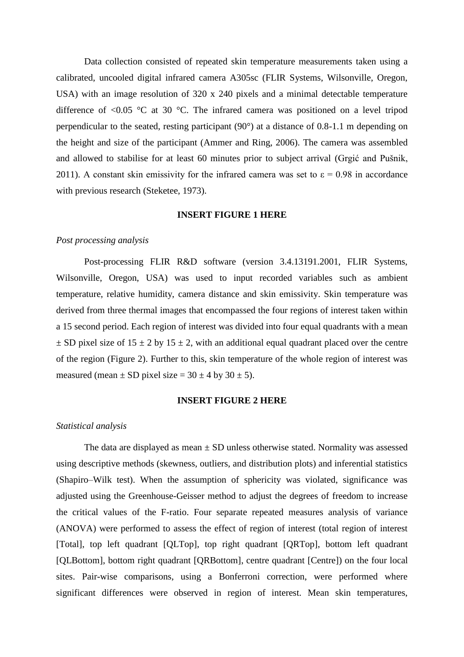Data collection consisted of repeated skin temperature measurements taken using a calibrated, uncooled digital infrared camera A305sc (FLIR Systems, Wilsonville, Oregon, USA) with an image resolution of 320 x 240 pixels and a minimal detectable temperature difference of  $\leq 0.05$  °C at 30 °C. The infrared camera was positioned on a level tripod perpendicular to the seated, resting participant (90°) at a distance of 0.8-1.1 m depending on the height and size of the participant (Ammer and Ring, 2006). The camera was assembled and allowed to stabilise for at least 60 minutes prior to subject arrival (Grgić and Pušnik, 2011). A constant skin emissivity for the infrared camera was set to  $\varepsilon = 0.98$  in accordance with previous research (Steketee, 1973).

#### **INSERT FIGURE 1 HERE**

### *Post processing analysis*

Post-processing FLIR R&D software (version 3.4.13191.2001, FLIR Systems, Wilsonville, Oregon, USA) was used to input recorded variables such as ambient temperature, relative humidity, camera distance and skin emissivity. Skin temperature was derived from three thermal images that encompassed the four regions of interest taken within a 15 second period. Each region of interest was divided into four equal quadrants with a mean  $\pm$  SD pixel size of 15  $\pm$  2 by 15  $\pm$  2, with an additional equal quadrant placed over the centre of the region (Figure 2). Further to this, skin temperature of the whole region of interest was measured (mean  $\pm$  SD pixel size = 30  $\pm$  4 by 30  $\pm$  5).

### **INSERT FIGURE 2 HERE**

### *Statistical analysis*

The data are displayed as mean  $\pm$  SD unless otherwise stated. Normality was assessed using descriptive methods (skewness, outliers, and distribution plots) and inferential statistics (Shapiro–Wilk test). When the assumption of sphericity was violated, significance was adjusted using the Greenhouse-Geisser method to adjust the degrees of freedom to increase the critical values of the F-ratio. Four separate repeated measures analysis of variance (ANOVA) were performed to assess the effect of region of interest (total region of interest [Total], top left quadrant [QLTop], top right quadrant [QRTop], bottom left quadrant [QLBottom], bottom right quadrant [QRBottom], centre quadrant [Centre]) on the four local sites. Pair-wise comparisons, using a Bonferroni correction, were performed where significant differences were observed in region of interest. Mean skin temperatures,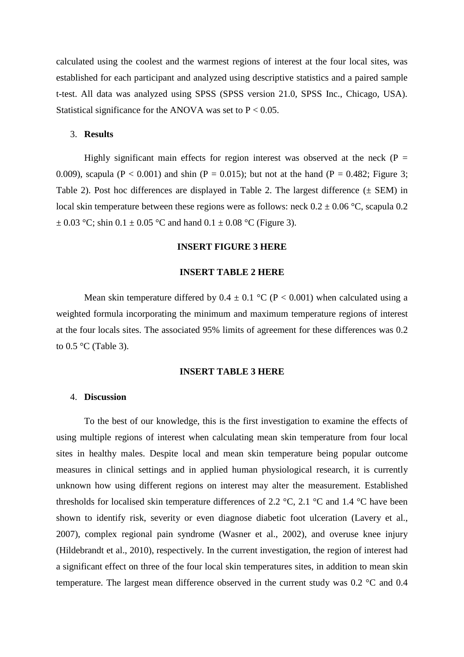calculated using the coolest and the warmest regions of interest at the four local sites, was established for each participant and analyzed using descriptive statistics and a paired sample t-test. All data was analyzed using SPSS (SPSS version 21.0, SPSS Inc., Chicago, USA). Statistical significance for the ANOVA was set to  $P < 0.05$ .

# 3. **Results**

Highly significant main effects for region interest was observed at the neck ( $P =$ 0.009), scapula (P < 0.001) and shin (P = 0.015); but not at the hand (P = 0.482; Figure 3; Table 2). Post hoc differences are displayed in Table 2. The largest difference  $(\pm$  SEM) in local skin temperature between these regions were as follows: neck  $0.2 \pm 0.06$  °C, scapula 0.2  $\pm$  0.03 °C; shin 0.1  $\pm$  0.05 °C and hand 0.1  $\pm$  0.08 °C (Figure 3).

# **INSERT FIGURE 3 HERE**

## **INSERT TABLE 2 HERE**

Mean skin temperature differed by  $0.4 \pm 0.1$  °C (P < 0.001) when calculated using a weighted formula incorporating the minimum and maximum temperature regions of interest at the four locals sites. The associated 95% limits of agreement for these differences was 0.2 to 0.5 °C (Table 3).

# **INSERT TABLE 3 HERE**

# 4. **Discussion**

To the best of our knowledge, this is the first investigation to examine the effects of using multiple regions of interest when calculating mean skin temperature from four local sites in healthy males. Despite local and mean skin temperature being popular outcome measures in clinical settings and in applied human physiological research, it is currently unknown how using different regions on interest may alter the measurement. Established thresholds for localised skin temperature differences of 2.2  $\degree$ C, 2.1  $\degree$ C and 1.4  $\degree$ C have been shown to identify risk, severity or even diagnose diabetic foot ulceration (Lavery et al., 2007), complex regional pain syndrome (Wasner et al., 2002), and overuse knee injury (Hildebrandt et al., 2010), respectively. In the current investigation, the region of interest had a significant effect on three of the four local skin temperatures sites, in addition to mean skin temperature. The largest mean difference observed in the current study was 0.2 °C and 0.4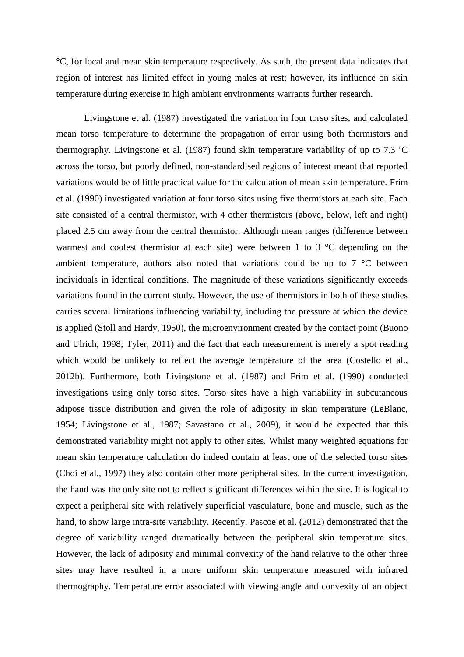°C, for local and mean skin temperature respectively. As such, the present data indicates that region of interest has limited effect in young males at rest; however, its influence on skin temperature during exercise in high ambient environments warrants further research.

Livingstone et al. (1987) investigated the variation in four torso sites, and calculated mean torso temperature to determine the propagation of error using both thermistors and thermography. Livingstone et al. (1987) found skin temperature variability of up to 7.3 ºC across the torso, but poorly defined, non-standardised regions of interest meant that reported variations would be of little practical value for the calculation of mean skin temperature. Frim et al. (1990) investigated variation at four torso sites using five thermistors at each site. Each site consisted of a central thermistor, with 4 other thermistors (above, below, left and right) placed 2.5 cm away from the central thermistor. Although mean ranges (difference between warmest and coolest thermistor at each site) were between 1 to 3 °C depending on the ambient temperature, authors also noted that variations could be up to 7 °C between individuals in identical conditions. The magnitude of these variations significantly exceeds variations found in the current study. However, the use of thermistors in both of these studies carries several limitations influencing variability, including the pressure at which the device is applied (Stoll and Hardy, 1950), the microenvironment created by the contact point (Buono and Ulrich, 1998; Tyler, 2011) and the fact that each measurement is merely a spot reading which would be unlikely to reflect the average temperature of the area (Costello et al., 2012b). Furthermore, both Livingstone et al. (1987) and Frim et al. (1990) conducted investigations using only torso sites. Torso sites have a high variability in subcutaneous adipose tissue distribution and given the role of adiposity in skin temperature (LeBlanc, 1954; Livingstone et al., 1987; Savastano et al., 2009), it would be expected that this demonstrated variability might not apply to other sites. Whilst many weighted equations for mean skin temperature calculation do indeed contain at least one of the selected torso sites (Choi et al., 1997) they also contain other more peripheral sites. In the current investigation, the hand was the only site not to reflect significant differences within the site. It is logical to expect a peripheral site with relatively superficial vasculature, bone and muscle, such as the hand, to show large intra-site variability. Recently, Pascoe et al. (2012) demonstrated that the degree of variability ranged dramatically between the peripheral skin temperature sites. However, the lack of adiposity and minimal convexity of the hand relative to the other three sites may have resulted in a more uniform skin temperature measured with infrared thermography. Temperature error associated with viewing angle and convexity of an object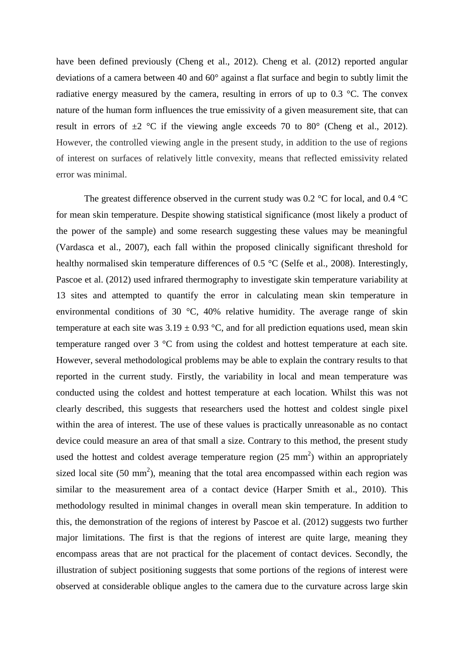have been defined previously (Cheng et al., 2012). Cheng et al. (2012) reported angular deviations of a camera between 40 and 60° against a flat surface and begin to subtly limit the radiative energy measured by the camera, resulting in errors of up to 0.3 °C. The convex nature of the human form influences the true emissivity of a given measurement site, that can result in errors of  $\pm 2$  °C if the viewing angle exceeds 70 to 80° (Cheng et al., 2012). However, the controlled viewing angle in the present study, in addition to the use of regions of interest on surfaces of relatively little convexity, means that reflected emissivity related error was minimal.

The greatest difference observed in the current study was  $0.2 \degree$ C for local, and  $0.4 \degree$ C for mean skin temperature. Despite showing statistical significance (most likely a product of the power of the sample) and some research suggesting these values may be meaningful (Vardasca et al., 2007), each fall within the proposed clinically significant threshold for healthy normalised skin temperature differences of 0.5 °C (Selfe et al., 2008). Interestingly, Pascoe et al. (2012) used infrared thermography to investigate skin temperature variability at 13 sites and attempted to quantify the error in calculating mean skin temperature in environmental conditions of 30 °C, 40% relative humidity. The average range of skin temperature at each site was  $3.19 \pm 0.93$  °C, and for all prediction equations used, mean skin temperature ranged over 3 °C from using the coldest and hottest temperature at each site. However, several methodological problems may be able to explain the contrary results to that reported in the current study. Firstly, the variability in local and mean temperature was conducted using the coldest and hottest temperature at each location. Whilst this was not clearly described, this suggests that researchers used the hottest and coldest single pixel within the area of interest. The use of these values is practically unreasonable as no contact device could measure an area of that small a size. Contrary to this method, the present study used the hottest and coldest average temperature region  $(25 \text{ mm}^2)$  within an appropriately sized local site  $(50 \text{ mm}^2)$ , meaning that the total area encompassed within each region was similar to the measurement area of a contact device (Harper Smith et al., 2010). This methodology resulted in minimal changes in overall mean skin temperature. In addition to this, the demonstration of the regions of interest by Pascoe et al. (2012) suggests two further major limitations. The first is that the regions of interest are quite large, meaning they encompass areas that are not practical for the placement of contact devices. Secondly, the illustration of subject positioning suggests that some portions of the regions of interest were observed at considerable oblique angles to the camera due to the curvature across large skin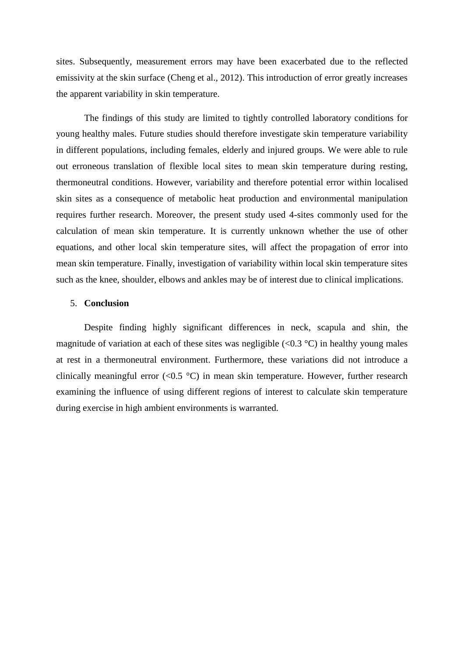sites. Subsequently, measurement errors may have been exacerbated due to the reflected emissivity at the skin surface (Cheng et al., 2012). This introduction of error greatly increases the apparent variability in skin temperature.

The findings of this study are limited to tightly controlled laboratory conditions for young healthy males. Future studies should therefore investigate skin temperature variability in different populations, including females, elderly and injured groups. We were able to rule out erroneous translation of flexible local sites to mean skin temperature during resting, thermoneutral conditions. However, variability and therefore potential error within localised skin sites as a consequence of metabolic heat production and environmental manipulation requires further research. Moreover, the present study used 4-sites commonly used for the calculation of mean skin temperature. It is currently unknown whether the use of other equations, and other local skin temperature sites, will affect the propagation of error into mean skin temperature. Finally, investigation of variability within local skin temperature sites such as the knee, shoulder, elbows and ankles may be of interest due to clinical implications.

# 5. **Conclusion**

Despite finding highly significant differences in neck, scapula and shin, the magnitude of variation at each of these sites was negligible  $(\le 0.3 \degree C)$  in healthy young males at rest in a thermoneutral environment. Furthermore, these variations did not introduce a clinically meaningful error  $(<0.5 \degree C)$  in mean skin temperature. However, further research examining the influence of using different regions of interest to calculate skin temperature during exercise in high ambient environments is warranted.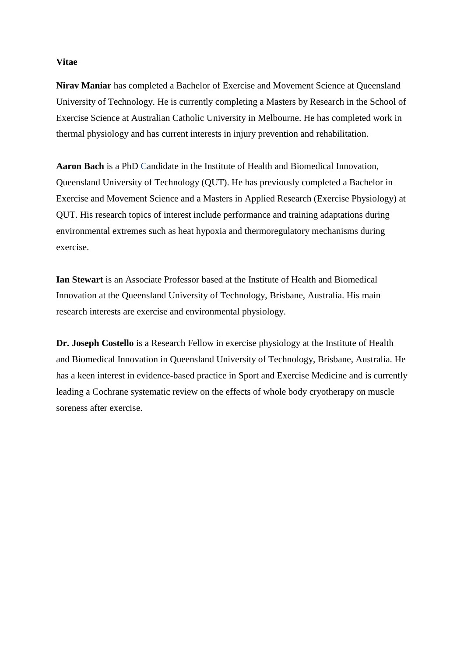## **Vitae**

**Nirav Maniar** has completed a Bachelor of Exercise and Movement Science at Queensland University of Technology. He is currently completing a Masters by Research in the School of Exercise Science at Australian Catholic University in Melbourne. He has completed work in thermal physiology and has current interests in injury prevention and rehabilitation.

**Aaron Bach** is a PhD Candidate in the Institute of Health and Biomedical Innovation, Queensland University of Technology (QUT). He has previously completed a Bachelor in Exercise and Movement Science and a Masters in Applied Research (Exercise Physiology) at QUT. His research topics of interest include performance and training adaptations during environmental extremes such as heat hypoxia and thermoregulatory mechanisms during exercise.

**Ian Stewart** is an Associate Professor based at the Institute of Health and Biomedical Innovation at the Queensland University of Technology, Brisbane, Australia. His main research interests are exercise and environmental physiology.

**Dr. Joseph Costello** is a Research Fellow in exercise physiology at the Institute of Health and Biomedical Innovation in Queensland University of Technology, Brisbane, Australia. He has a keen interest in evidence-based practice in Sport and Exercise Medicine and is currently leading a Cochrane systematic review on the effects of whole body cryotherapy on muscle soreness after exercise.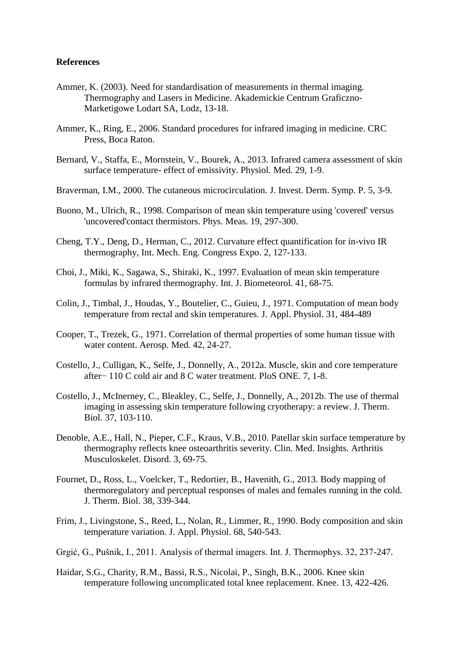## **References**

- Ammer, K. (2003). Need for standardisation of measurements in thermal imaging. Thermography and Lasers in Medicine. Akademickie Centrum Graficzno-Marketigowe Lodart SA, Lodz, 13-18.
- Ammer, K., Ring, E., 2006. Standard procedures for infrared imaging in medicine. CRC Press, Boca Raton.
- Bernard, V., Staffa, E., Mornstein, V., Bourek, A., 2013. Infrared camera assessment of skin surface temperature- effect of emissivity. Physiol. Med. 29, 1-9.
- Braverman, I.M., 2000. The cutaneous microcirculation. J. Invest. Derm. Symp. P. 5, 3-9.
- Buono, M., Ulrich, R., 1998. Comparison of mean skin temperature using 'covered' versus 'uncovered'contact thermistors. Phys. Meas. 19, 297-300.
- Cheng, T.Y., Deng, D., Herman, C., 2012. Curvature effect quantification for in-vivo IR thermography, Int. Mech. Eng. Congress Expo. 2, 127-133.
- Choi, J., Miki, K., Sagawa, S., Shiraki, K., 1997. Evaluation of mean skin temperature formulas by infrared thermography. Int. J. Biometeorol. 41, 68-75.
- Colin, J., Timbal, J., Houdas, Y., Boutelier, C., Guieu, J., 1971. Computation of mean body temperature from rectal and skin temperatures. J. Appl. Physiol. 31, 484-489
- Cooper, T., Trezek, G., 1971. Correlation of thermal properties of some human tissue with water content. Aerosp. Med. 42, 24-27.
- Costello, J., Culligan, K., Selfe, J., Donnelly, A., 2012a. Muscle, skin and core temperature after− 110 C cold air and 8 C water treatment. PloS ONE. 7, 1-8.
- Costello, J., McInerney, C., Bleakley, C., Selfe, J., Donnelly, A., 2012b. The use of thermal imaging in assessing skin temperature following cryotherapy: a review. J. Therm. Biol. 37, 103-110.
- Denoble, A.E., Hall, N., Pieper, C.F., Kraus, V.B., 2010. Patellar skin surface temperature by thermography reflects knee osteoarthritis severity. Clin. Med. Insights. Arthritis Musculoskelet. Disord. 3, 69-75.
- Fournet, D., Ross, L., Voelcker, T., Redortier, B., Havenith, G., 2013. Body mapping of thermoregulatory and perceptual responses of males and females running in the cold. J. Therm. Biol. 38, 339-344.
- Frim, J., Livingstone, S., Reed, L., Nolan, R., Limmer, R., 1990. Body composition and skin temperature variation. J. Appl. Physiol. 68, 540-543.
- Grgić, G., Pušnik, I., 2011. Analysis of thermal imagers. Int. J. Thermophys. 32, 237-247.
- Haidar, S.G., Charity, R.M., Bassi, R.S., Nicolai, P., Singh, B.K., 2006. Knee skin temperature following uncomplicated total knee replacement. Knee. 13, 422-426.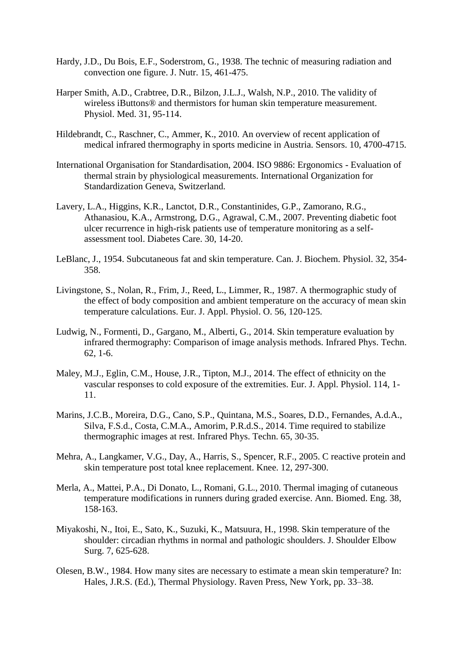- Hardy, J.D., Du Bois, E.F., Soderstrom, G., 1938. The technic of measuring radiation and convection one figure. J. Nutr. 15, 461-475.
- Harper Smith, A.D., Crabtree, D.R., Bilzon, J.L.J., Walsh, N.P., 2010. The validity of wireless iButtons® and thermistors for human skin temperature measurement. Physiol. Med. 31, 95-114.
- Hildebrandt, C., Raschner, C., Ammer, K., 2010. An overview of recent application of medical infrared thermography in sports medicine in Austria. Sensors. 10, 4700-4715.
- International Organisation for Standardisation, 2004. ISO 9886: Ergonomics Evaluation of thermal strain by physiological measurements. International Organization for Standardization Geneva, Switzerland.
- Lavery, L.A., Higgins, K.R., Lanctot, D.R., Constantinides, G.P., Zamorano, R.G., Athanasiou, K.A., Armstrong, D.G., Agrawal, C.M., 2007. Preventing diabetic foot ulcer recurrence in high-risk patients use of temperature monitoring as a selfassessment tool. Diabetes Care. 30, 14-20.
- LeBlanc, J., 1954. Subcutaneous fat and skin temperature. Can. J. Biochem. Physiol. 32, 354- 358.
- Livingstone, S., Nolan, R., Frim, J., Reed, L., Limmer, R., 1987. A thermographic study of the effect of body composition and ambient temperature on the accuracy of mean skin temperature calculations. Eur. J. Appl. Physiol. O. 56, 120-125.
- Ludwig, N., Formenti, D., Gargano, M., Alberti, G., 2014. Skin temperature evaluation by infrared thermography: Comparison of image analysis methods. Infrared Phys. Techn. 62, 1-6.
- Maley, M.J., Eglin, C.M., House, J.R., Tipton, M.J., 2014. The effect of ethnicity on the vascular responses to cold exposure of the extremities. Eur. J. Appl. Physiol. 114, 1- 11.
- Marins, J.C.B., Moreira, D.G., Cano, S.P., Quintana, M.S., Soares, D.D., Fernandes, A.d.A., Silva, F.S.d., Costa, C.M.A., Amorim, P.R.d.S., 2014. Time required to stabilize thermographic images at rest. Infrared Phys. Techn. 65, 30-35.
- Mehra, A., Langkamer, V.G., Day, A., Harris, S., Spencer, R.F., 2005. C reactive protein and skin temperature post total knee replacement. Knee. 12, 297-300.
- Merla, A., Mattei, P.A., Di Donato, L., Romani, G.L., 2010. Thermal imaging of cutaneous temperature modifications in runners during graded exercise. Ann. Biomed. Eng. 38, 158-163.
- Miyakoshi, N., Itoi, E., Sato, K., Suzuki, K., Matsuura, H., 1998. Skin temperature of the shoulder: circadian rhythms in normal and pathologic shoulders. J. Shoulder Elbow Surg. 7, 625-628.
- Olesen, B.W., 1984. How many sites are necessary to estimate a mean skin temperature? In: Hales, J.R.S. (Ed.), Thermal Physiology. Raven Press, New York, pp. 33–38.